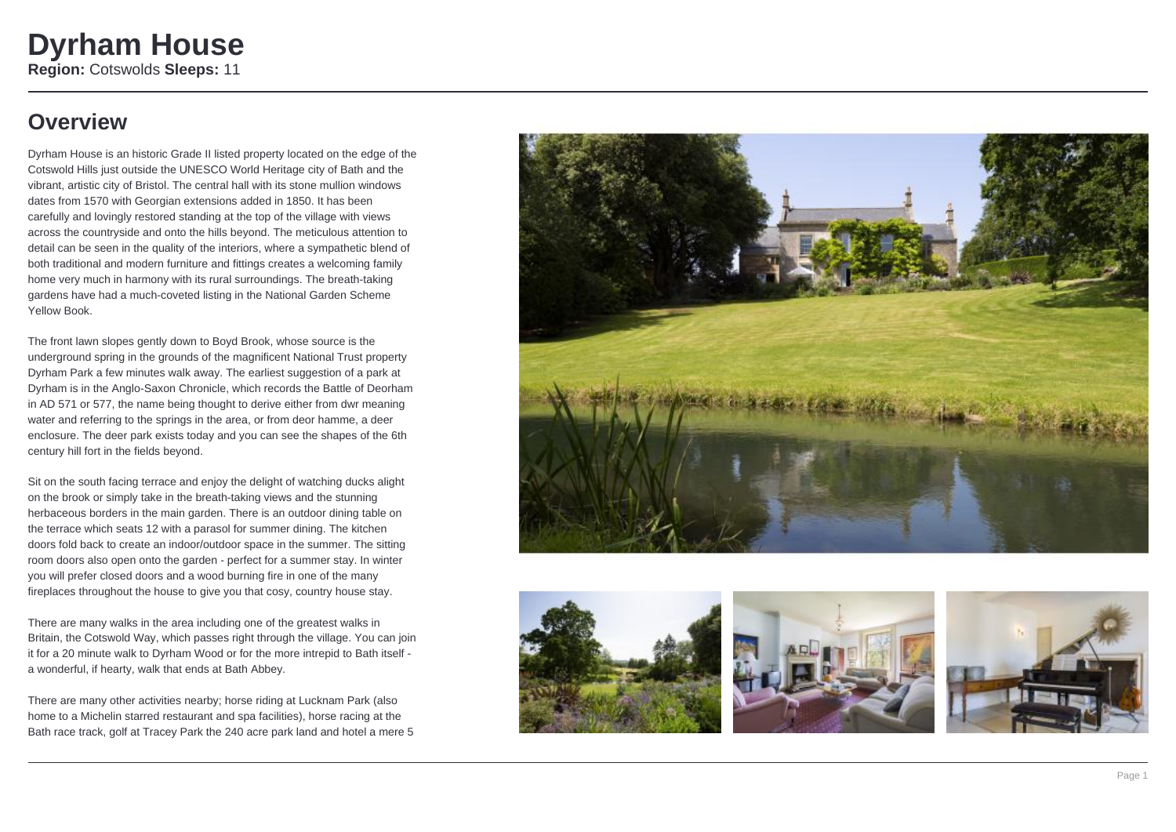### **Overview**

Dyrham House is an historic Grade II listed property located on the edge of the Cotswold Hills just outside the UNESCO World Heritage city of Bath and the vibrant, artistic city of Bristol. The central hall with its stone mullion windows dates from 1570 with Georgian extensions added in 1850. It has been carefully and lovingly restored standing at the top of the village with views across the countryside and onto the hills beyond. The meticulous attention to detail can be seen in the quality of the interiors, where a sympathetic blend of both traditional and modern furniture and fittings creates a welcoming family home very much in harmony with its rural surroundings. The breath-taking gardens have had a much-coveted listing in the National Garden Scheme Yellow Book.

The front lawn slopes gently down to Boyd Brook, whose source is the underground spring in the grounds of the magnificent National Trust property Dyrham Park a few minutes walk away. The earliest suggestion of a park at Dyrham is in the Anglo-Saxon Chronicle, which records the Battle of Deorham in AD 571 or 577, the name being thought to derive either from dwr meaning water and referring to the springs in the area, or from deor hamme, a deer enclosure. The deer park exists today and you can see the shapes of the 6th century hill fort in the fields beyond.

Sit on the south facing terrace and enjoy the delight of watching ducks alight on the brook or simply take in the breath-taking views and the stunning herbaceous borders in the main garden. There is an outdoor dining table on the terrace which seats 12 with a parasol for summer dining. The kitchen doors fold back to create an indoor/outdoor space in the summer. The sitting room doors also open onto the garden - perfect for a summer stay. In winter you will prefer closed doors and a wood burning fire in one of the many fireplaces throughout the house to give you that cosy, country house stay.

There are many walks in the area including one of the greatest walks in Britain, the Cotswold Way, which passes right through the village. You can join it for a 20 minute walk to Dyrham Wood or for the more intrepid to Bath itself a wonderful, if hearty, walk that ends at Bath Abbey.

There are many other activities nearby; horse riding at Lucknam Park (also home to a Michelin starred restaurant and spa facilities), horse racing at the Bath race track, golf at Tracey Park the 240 acre park land and hotel a mere 5







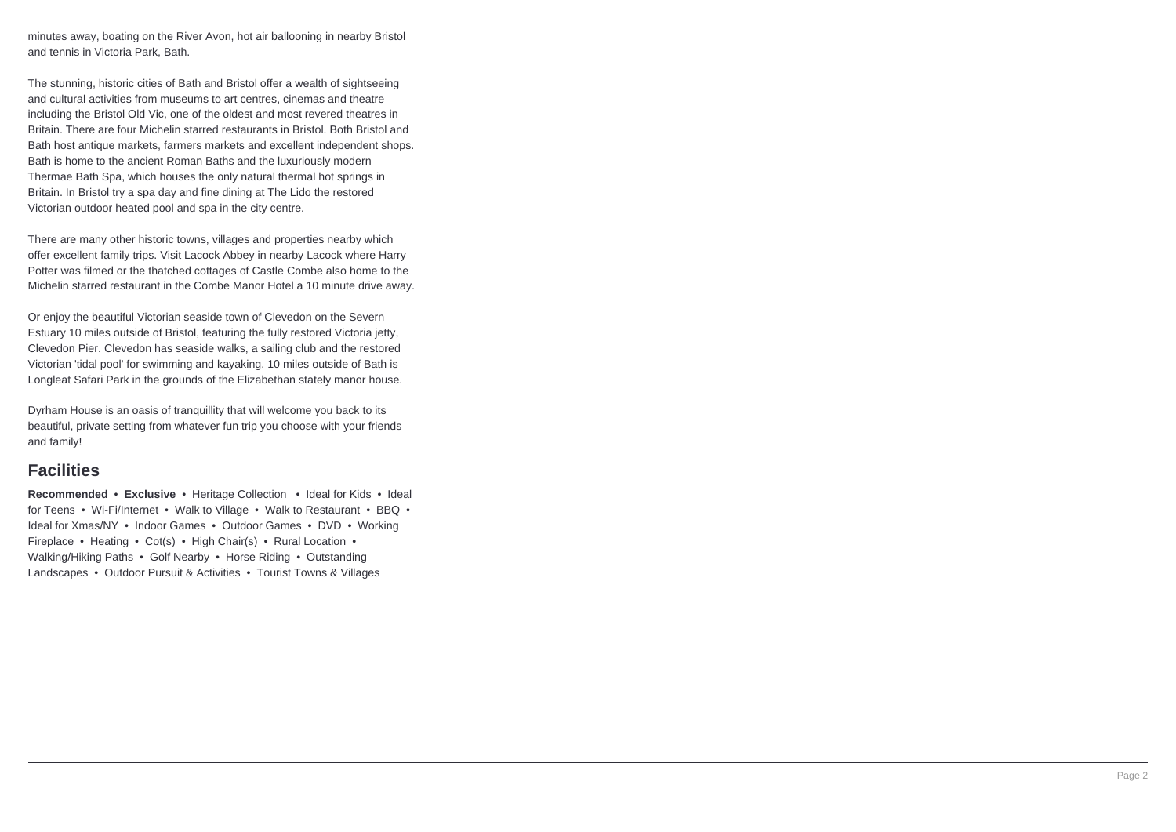minutes away, boating on the River Avon, hot air ballooning in nearby Bristol and tennis in Victoria Park, Bath.

The stunning, historic cities of Bath and Bristol offer a wealth of sightseeing and cultural activities from museums to art centres, cinemas and theatre including the Bristol Old Vic, one of the oldest and most revered theatres in Britain. There are four Michelin starred restaurants in Bristol. Both Bristol and Bath host antique markets, farmers markets and excellent independent shops. Bath is home to the ancient Roman Baths and the luxuriously modern Thermae Bath Spa, which houses the only natural thermal hot springs in Britain. In Bristol try a spa day and fine dining at The Lido the restored Victorian outdoor heated pool and spa in the city centre.

There are many other historic towns, villages and properties nearby which offer excellent family trips. Visit Lacock Abbey in nearby Lacock where Harry Potter was filmed or the thatched cottages of Castle Combe also home to the Michelin starred restaurant in the Combe Manor Hotel a 10 minute drive away.

Or enjoy the beautiful Victorian seaside town of Clevedon on the Severn Estuary 10 miles outside of Bristol, featuring the fully restored Victoria jetty, Clevedon Pier. Clevedon has seaside walks, a sailing club and the restored Victorian 'tidal pool' for swimming and kayaking. 10 miles outside of Bath is Longleat Safari Park in the grounds of the Elizabethan stately manor house.

Dyrham House is an oasis of tranquillity that will welcome you back to its beautiful, private setting from whatever fun trip you choose with your friends and family!

#### **Facilities**

**Recommended** • **Exclusive** • Heritage Collection • Ideal for Kids • Ideal for Teens • Wi-Fi/Internet • Walk to Village • Walk to Restaurant • BBQ • Ideal for Xmas/NY • Indoor Games • Outdoor Games • DVD • Working Fireplace • Heating • Cot(s) • High Chair(s) • Rural Location • Walking/Hiking Paths • Golf Nearby • Horse Riding • Outstanding Landscapes • Outdoor Pursuit & Activities • Tourist Towns & Villages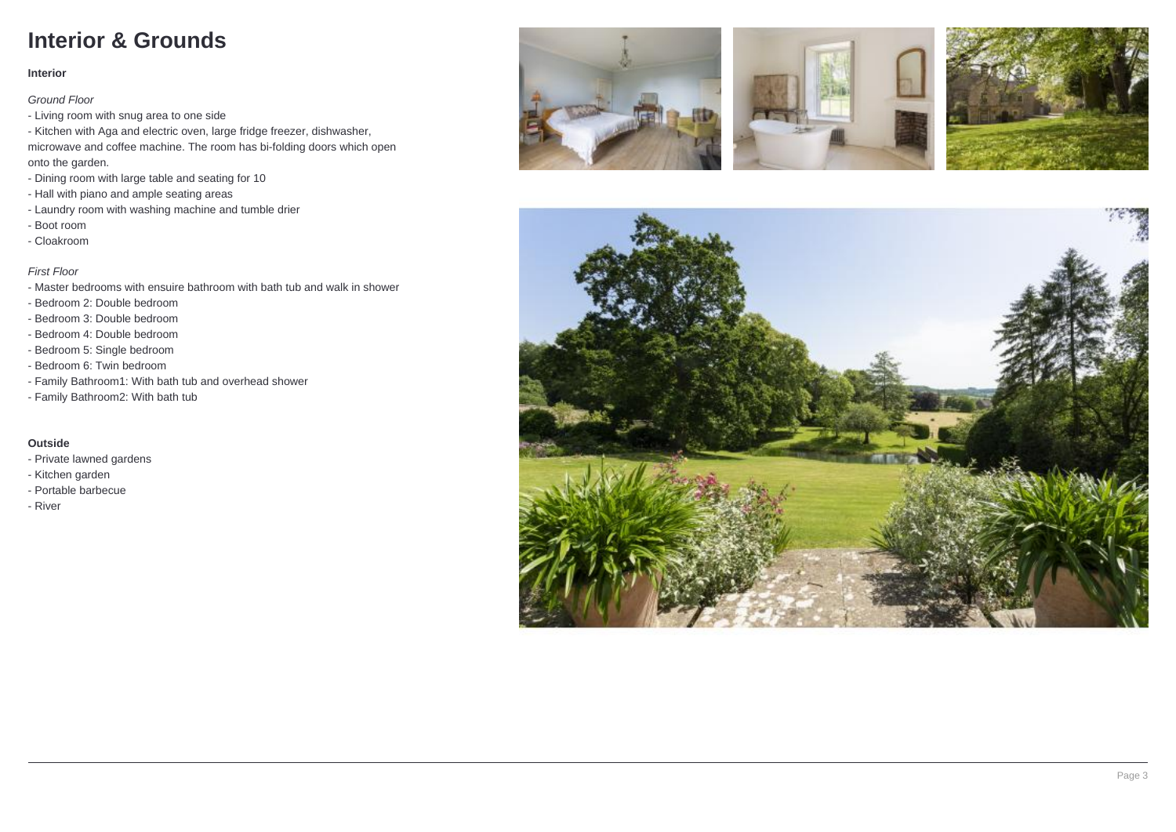### **Interior & Grounds**

#### **Interior**

Ground Floor

- Living room with snug area to one side
- Kitchen with Aga and electric oven, large fridge freezer, dishwasher, microwave and coffee machine. The room has bi-folding doors which open onto the garden.
- Dining room with large table and seating for 10
- Hall with piano and ample seating areas
- Laundry room with washing machine and tumble drier
- Boot room
- Cloakroom

#### First Floor

- Master bedrooms with ensuire bathroom with bath tub and walk in shower
- Bedroom 2: Double bedroom
- Bedroom 3: Double bedroom
- Bedroom 4: Double bedroom
- Bedroom 5: Single bedroom
- Bedroom 6: Twin bedroom
- Family Bathroom1: With bath tub and overhead shower
- Family Bathroom2: With bath tub

#### **Outside**

- Private lawned gardens
- Kitchen garden
- Portable barbecue
- River







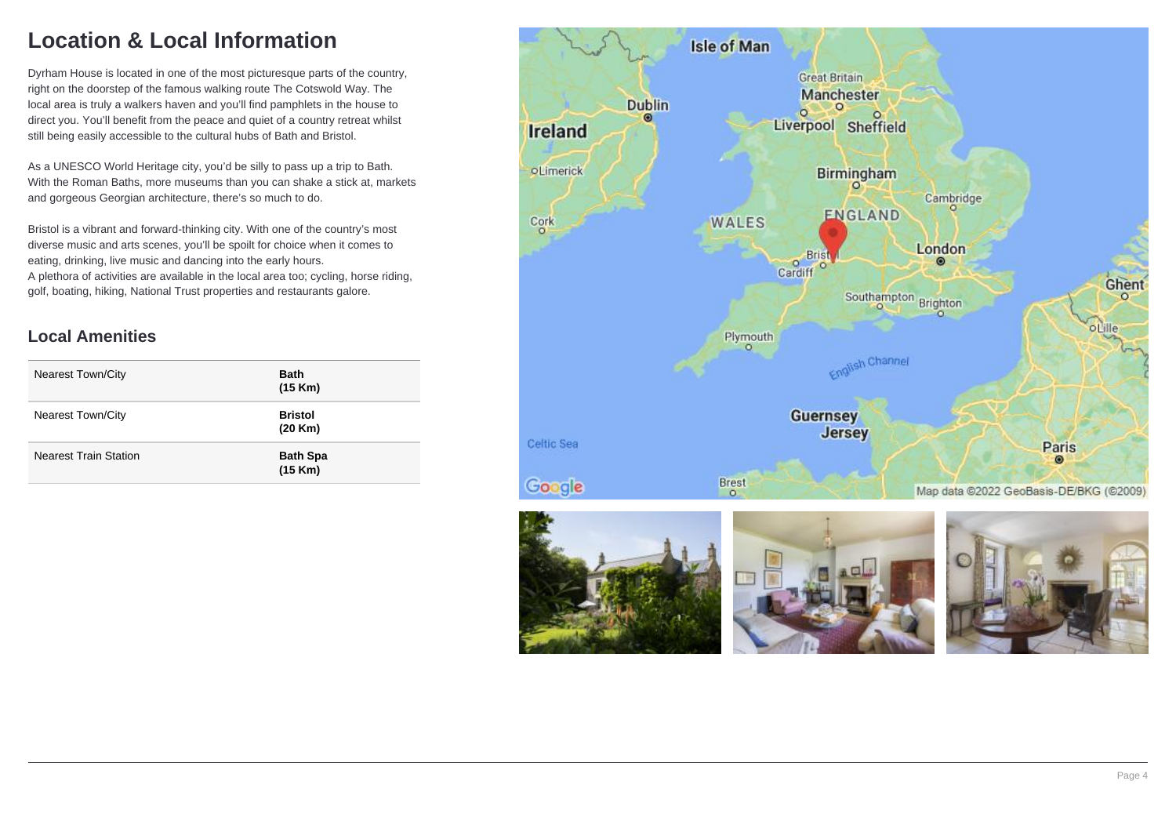## **Location & Local Information**

Dyrham House is located in one of the most picturesque parts of the country, right on the doorstep of the famous walking route The Cotswold Way. The local area is truly a walkers haven and you'll find pamphlets in the house to direct you. You'll benefit from the peace and quiet of a country retreat whilst still being easily accessible to the cultural hubs of Bath and Bristol.

As a UNESCO World Heritage city, you'd be silly to pass up a trip to Bath. With the Roman Baths, more museums than you can shake a stick at, markets and gorgeous Georgian architecture, there's so much to do.

Bristol is a vibrant and forward-thinking city. With one of the country's most diverse music and arts scenes, you'll be spoilt for choice when it comes to eating, drinking, live music and dancing into the early hours. A plethora of activities are available in the local area too; cycling, horse riding, golf, boating, hiking, National Trust properties and restaurants galore.

#### **Local Amenities**

| <b>Nearest Town/City</b>     | <b>Bath</b><br>(15 Km)     |
|------------------------------|----------------------------|
| <b>Nearest Town/City</b>     | <b>Bristol</b><br>(20 Km)  |
| <b>Nearest Train Station</b> | <b>Bath Spa</b><br>(15 Km) |

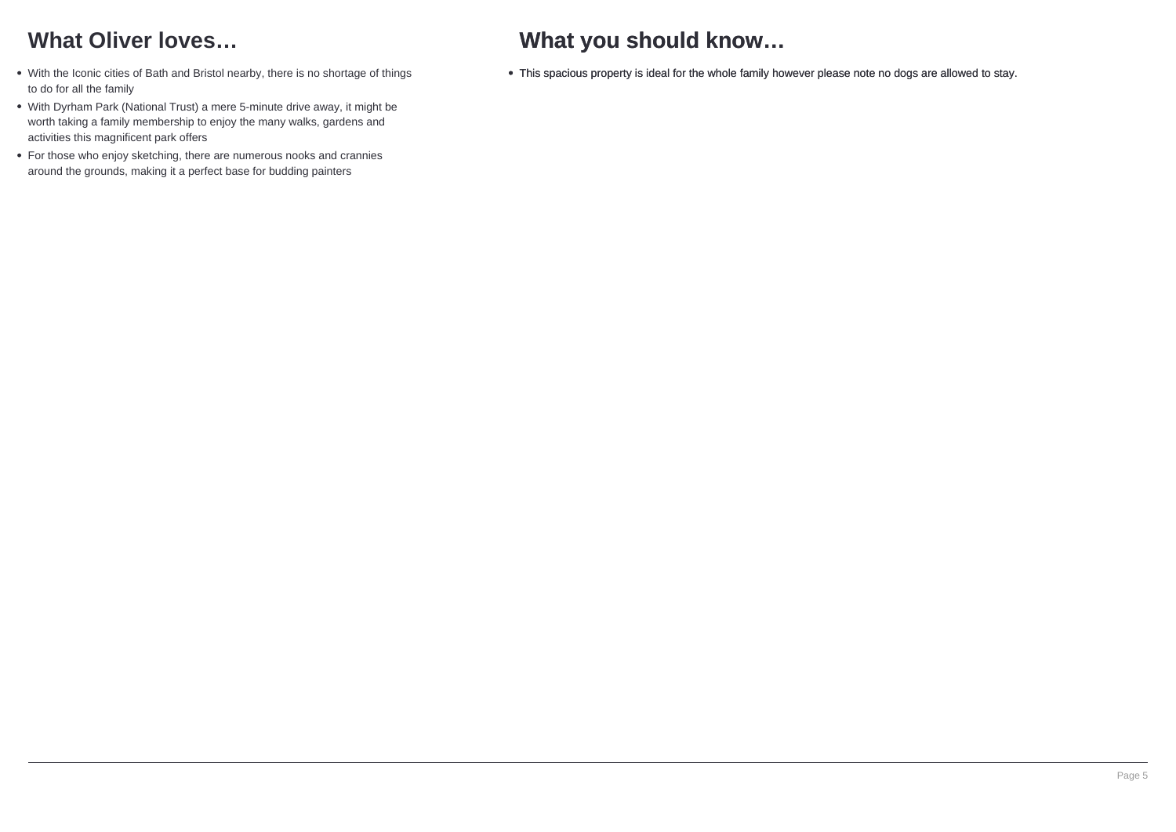## **What Oliver loves…**

- With the Iconic cities of Bath and Bristol nearby, there is no shortage of things to do for all the family
- With Dyrham Park (National Trust) a mere 5-minute drive away, it might be worth taking a family membership to enjoy the many walks, gardens and activities this magnificent park offers
- For those who enjoy sketching, there are numerous nooks and crannies around the grounds, making it a perfect base for budding painters

## **What you should know…**

This spacious property is ideal for the whole family however please note no dogs are allowed to stay.